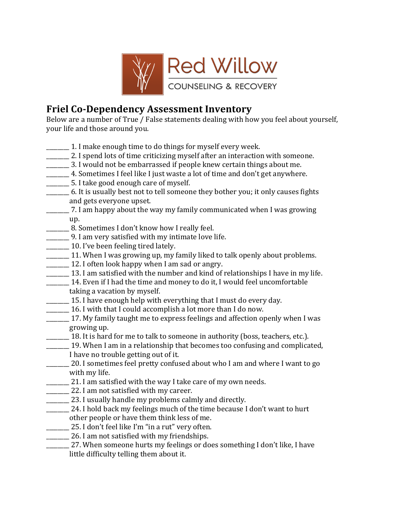

## **Friel Co-Dependency Assessment Inventory**

Below are a number of True / False statements dealing with how you feel about yourself, your life and those around you.

- $\frac{1}{\sqrt{1-\frac{1}{\sqrt{1-\frac{1}{\sqrt{1-\frac{1}{\sqrt{1-\frac{1}{\sqrt{1-\frac{1}{\sqrt{1-\frac{1}{\sqrt{1-\frac{1}{\sqrt{1-\frac{1}{\sqrt{1-\frac{1}{\sqrt{1-\frac{1}{\sqrt{1-\frac{1}{\sqrt{1-\frac{1}{\sqrt{1-\frac{1}{\sqrt{1-\frac{1}{\sqrt{1-\frac{1}{\sqrt{1-\frac{1}{\sqrt{1-\frac{1}{\sqrt{1-\frac{1}{\sqrt{1-\frac{1}{\sqrt{1-\frac{1}{\sqrt{1-\frac{1}{\sqrt{1-\frac{1}{\sqrt{1-\frac{1}{\sqrt{1-\frac{1$
- \_\_\_\_\_\_\_\_\_ 2. I spend lots of time criticizing myself after an interaction with someone.
- \_\_\_\_\_\_\_\_&3.&I&would&not&be&embarrassed&if&people&knew&certain&things&about&me.&
- 4. Sometimes I feel like I just waste a lot of time and don't get anywhere.
- \_\_\_\_\_\_\_\_&5.&I&take&good&enough&care&of&myself.&
- \_\_\_\_\_\_\_\_\_\_ 6. It is usually best not to tell someone they bother you; it only causes fights and gets everyone upset.
- 7. I am happy about the way my family communicated when I was growing up.
- \_\_\_\_\_\_\_ 8. Sometimes I don't know how I really feel.
- \_\_\_\_\_\_\_\_\_ 9. I am very satisfied with my intimate love life.
- \_\_\_\_\_\_\_\_ 10. I've been feeling tired lately.
- 11. When I was growing up, my family liked to talk openly about problems.
- \_\_\_\_\_\_\_\_\_ 12. I often look happy when I am sad or angry.
- 13. I am satisfied with the number and kind of relationships I have in my life.
- **\_\_\_\_\_\_ 14.** Even if I had the time and money to do it, I would feel uncomfortable taking a vacation by myself.
- \_\_\_\_\_\_\_\_\_ 15. I have enough help with everything that I must do every day.
- \_\_\_\_\_\_\_\_&16.&I&with&that&I&could&accomplish&a&lot&more&than&I&do&now.&
- 17. My family taught me to express feelings and affection openly when I was growing up.
- 18. It is hard for me to talk to someone in authority (boss, teachers, etc.).
- 19. When I am in a relationship that becomes too confusing and complicated, I have no trouble getting out of it.
- 20. I sometimes feel pretty confused about who I am and where I want to go with my life.
- \_\_\_\_\_\_\_\_\_\_\_ 21. I am satisfied with the way I take care of my own needs.
- \_\_\_\_\_\_\_\_\_\_\_ 22. I am not satisfied with my career.
- \_\_\_\_\_\_\_\_\_ 23. I usually handle my problems calmly and directly.
- \_\_\_\_\_\_\_ 24. I hold back my feelings much of the time because I don't want to hurt other people or have them think less of me.
- \_\_\_\_\_\_\_\_ 25. I don't feel like I'm "in a rut" very often.
- \_\_\_\_\_\_\_\_ 26. I am not satisfied with my friendships.
- \_27. When someone hurts my feelings or does something I don't like, I have little difficulty telling them about it.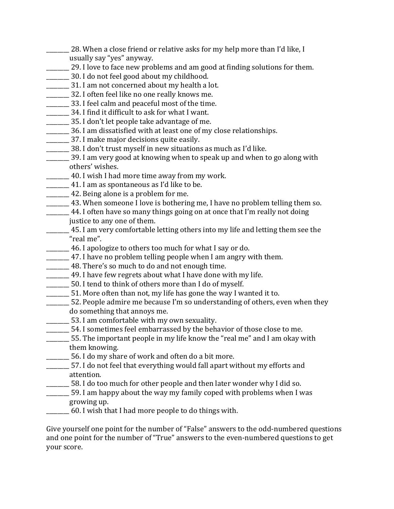- 28. When a close friend or relative asks for my help more than I'd like, I usually say "yes" anyway.
- \_\_\_\_\_\_\_\_ 29. I love to face new problems and am good at finding solutions for them.
- \_\_\_\_\_\_\_\_&30.&I&do&not&feel&good&about&my&childhood.&
- \_\_\_\_\_\_\_\_&31.&I&am&not&concerned&about&my&health&a&lot.&
- \_\_\_\_\_\_\_\_\_ 32. I often feel like no one really knows me.
- \_\_\_\_\_\_\_\_&33.&I&feel&calm&and&peaceful&most&of&the&time.&
- \_\_\_\_\_\_\_ 34. I find it difficult to ask for what I want.
- \_\_\_\_\_\_\_\_&35.&I&don't&let&people&take&advantage&of&me.&
- \_\_\_\_\_\_\_\_&36.&I&am&dissatisfied&with&at&least&one&of&my&close&relationships.&
- \_\_\_\_\_\_\_\_&37.&I&make&major&decisions&quite&easily.&
- \_\_\_\_\_\_\_\_&38.&I&don't&trust&myself&in&new&situations&as&much&as&I'd&like.&
- \_\_\_\_\_\_\_\_\_ 39. I am very good at knowing when to speak up and when to go along with others' wishes.
- \_\_\_\_\_\_\_ 40. I wish I had more time away from my work.
- $\frac{41.}{\text{I am as spontaneous as I'd like to be.}}$
- **EXECUTE:** 42. Being alone is a problem for me.
- \_\_\_\_\_\_\_\_\_ 43. When someone I love is bothering me, I have no problem telling them so.
- \_\_\_\_\_\_\_ 44. I often have so many things going on at once that I'm really not doing justice to any one of them.
	- $\frac{1}{2}$  45. I am very comfortable letting others into my life and letting them see the "real me".
	- 46. I apologize to others too much for what I say or do.
- \_\_\_\_\_\_\_\_ 47. I have no problem telling people when I am angry with them.
- $\frac{1}{2}$  48. There's so much to do and not enough time.
- \_\_\_\_\_\_\_\_ 49. I have few regrets about what I have done with my life.
- $\frac{1}{\sqrt{1-\frac{1}{\sqrt{1-\frac{1}{\sqrt{1-\frac{1}{\sqrt{1-\frac{1}{\sqrt{1-\frac{1}{\sqrt{1-\frac{1}{\sqrt{1-\frac{1}{\sqrt{1-\frac{1}{\sqrt{1-\frac{1}{\sqrt{1-\frac{1}{\sqrt{1-\frac{1}{\sqrt{1-\frac{1}{\sqrt{1-\frac{1}{\sqrt{1-\frac{1}{\sqrt{1-\frac{1}{\sqrt{1-\frac{1}{\sqrt{1-\frac{1}{\sqrt{1-\frac{1}{\sqrt{1-\frac{1}{\sqrt{1-\frac{1}{\sqrt{1-\frac{1}{\sqrt{1-\frac{1}{\sqrt{1-\frac{1}{\sqrt{1-\frac{1$
- \_\_\_\_\_\_\_\_&51.&More&often&than&not, my&life&has&gone&the&way&I&wanted&it&to.&
- \_\_\_\_\_\_\_\_&52.&People&admire&me&because&I'm&so&understanding&of&others,&even&when&they& do something that annoys me.
- \_\_\_\_\_\_\_\_\_ 53. I am comfortable with my own sexuality.
- $\frac{1}{1}$  54. I sometimes feel embarrassed by the behavior of those close to me.
- \_\_\_\_\_\_\_\_&55.&The&important&people&in&my&life&know&the&"real&me"&and&I&am&okay&with& them knowing.
- 56. I do my share of work and often do a bit more.
- $\frac{1}{2}$  57. I do not feel that everything would fall apart without my efforts and attention.
- \_\_\_\_\_\_\_\_\_\_58. I do too much for other people and then later wonder why I did so.
- $\frac{1}{\sqrt{1-\epsilon}}$  59. I am happy about the way my family coped with problems when I was growing up.
- $60.$  I wish that I had more people to do things with.

Give yourself one point for the number of "False" answers to the odd-numbered questions and one point for the number of "True" answers to the even-numbered questions to get your score.